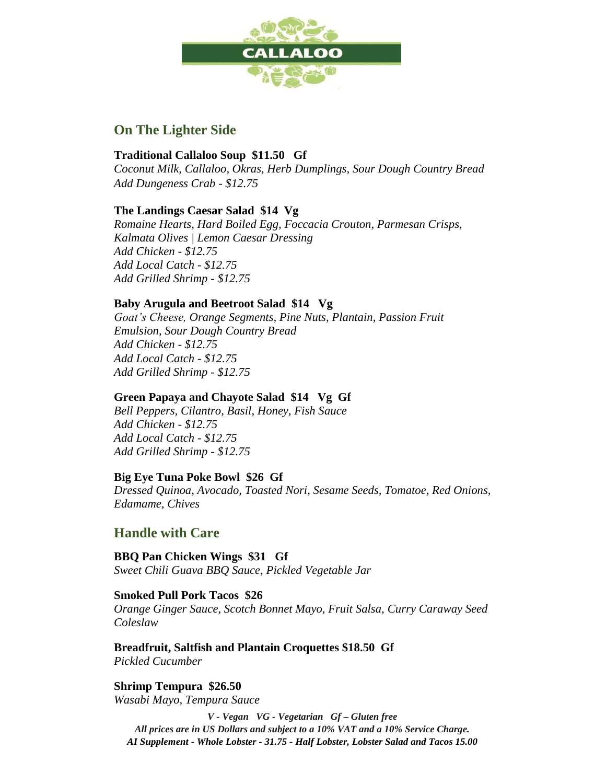

## **On The Lighter Side**

#### **Traditional Callaloo Soup \$11.50 Gf**

*Coconut Milk, Callaloo, Okras, Herb Dumplings, Sour Dough Country Bread Add Dungeness Crab - \$12.75*

### **The Landings Caesar Salad \$14 Vg**

*Romaine Hearts, Hard Boiled Egg, Foccacia Crouton, Parmesan Crisps, Kalmata Olives | Lemon Caesar Dressing Add Chicken - \$12.75 Add Local Catch - \$12.75 Add Grilled Shrimp - \$12.75*

### **Baby Arugula and Beetroot Salad \$14 Vg**

*Goat's Cheese, Orange Segments, Pine Nuts, Plantain, Passion Fruit Emulsion, Sour Dough Country Bread Add Chicken - \$12.75 Add Local Catch - \$12.75 Add Grilled Shrimp - \$12.75*

### **Green Papaya and Chayote Salad \$14 Vg Gf**

*Bell Peppers, Cilantro, Basil, Honey, Fish Sauce Add Chicken - \$12.75 Add Local Catch - \$12.75 Add Grilled Shrimp - \$12.75*

### **Big Eye Tuna Poke Bowl \$26 Gf**

*Dressed Quinoa, Avocado, Toasted Nori, Sesame Seeds, Tomatoe, Red Onions, Edamame, Chives*

## **Handle with Care**

**BBQ Pan Chicken Wings \$31 Gf** *Sweet Chili Guava BBQ Sauce, Pickled Vegetable Jar*

#### **Smoked Pull Pork Tacos \$26**

*Orange Ginger Sauce, Scotch Bonnet Mayo, Fruit Salsa, Curry Caraway Seed Coleslaw*

**Breadfruit, Saltfish and Plantain Croquettes \$18.50 Gf** *Pickled Cucumber*

# **Shrimp Tempura \$26.50**

*Wasabi Mayo, Tempura Sauce*

*V - Vegan VG - Vegetarian Gf – Gluten free All prices are in US Dollars and subject to a 10% VAT and a 10% Service Charge. AI Supplement - Whole Lobster - 31.75 - Half Lobster, Lobster Salad and Tacos 15.00*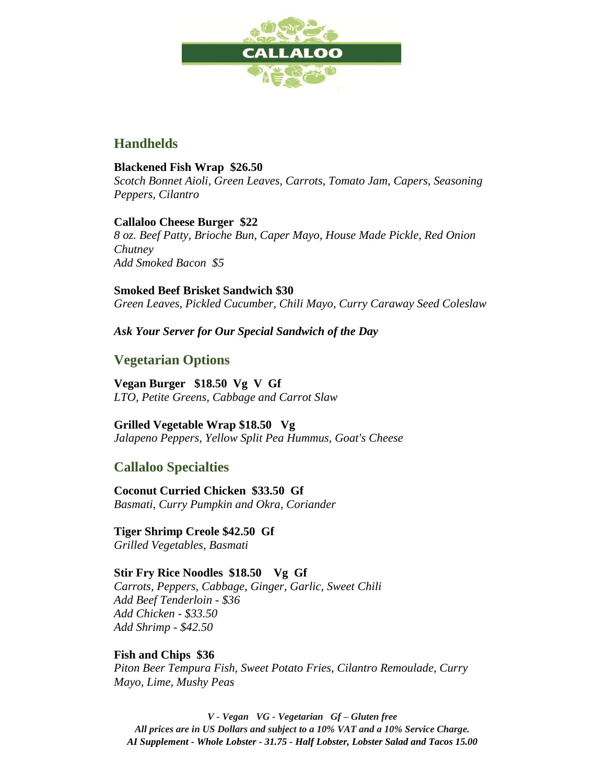

## **Handhelds**

#### **Blackened Fish Wrap \$26.50**

*Scotch Bonnet Aioli, Green Leaves, Carrots, Tomato Jam, Capers, Seasoning Peppers, Cilantro*

### **Callaloo Cheese Burger \$22**

*8 oz. Beef Patty, Brioche Bun, Caper Mayo, House Made Pickle, Red Onion Chutney Add Smoked Bacon \$5*

**Smoked Beef Brisket Sandwich \$30** *Green Leaves, Pickled Cucumber, Chili Mayo, Curry Caraway Seed Coleslaw*

### *Ask Your Server for Our Special Sandwich of the Day*

### **Vegetarian Options**

**Vegan Burger \$18.50 Vg V Gf** *LTO, Petite Greens, Cabbage and Carrot Slaw*

**Grilled Vegetable Wrap \$18.50 Vg** *Jalapeno Peppers, Yellow Split Pea Hummus, Goat's Cheese*

## **Callaloo Specialties**

**Coconut Curried Chicken \$33.50 Gf** *Basmati, Curry Pumpkin and Okra, Coriander*

#### **Tiger Shrimp Creole \$42.50 Gf**

*Grilled Vegetables, Basmati*

#### **Stir Fry Rice Noodles \$18.50 Vg Gf**

*Carrots, Peppers, Cabbage, Ginger, Garlic, Sweet Chili Add Beef Tenderloin - \$36 Add Chicken - \$33.50 Add Shrimp - \$42.50*

#### **Fish and Chips \$36** *Piton Beer Tempura Fish, Sweet Potato Fries, Cilantro Remoulade, Curry Mayo, Lime, Mushy Peas*

*V - Vegan VG - Vegetarian Gf – Gluten free All prices are in US Dollars and subject to a 10% VAT and a 10% Service Charge. AI Supplement - Whole Lobster - 31.75 - Half Lobster, Lobster Salad and Tacos 15.00*